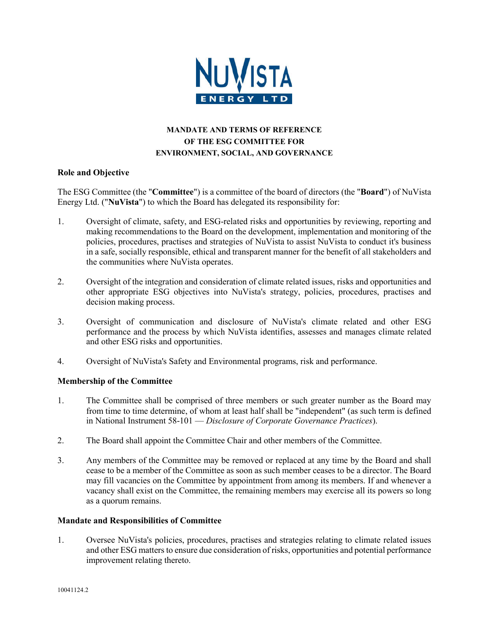

# **MANDATE AND TERMS OF REFERENCE OF THE ESG COMMITTEE FOR ENVIRONMENT, SOCIAL, AND GOVERNANCE**

## **Role and Objective**

The ESG Committee (the "**Committee**") is a committee of the board of directors (the "**Board**") of NuVista Energy Ltd. ("**NuVista**") to which the Board has delegated its responsibility for:

- 1. Oversight of climate, safety, and ESG-related risks and opportunities by reviewing, reporting and making recommendations to the Board on the development, implementation and monitoring of the policies, procedures, practises and strategies of NuVista to assist NuVista to conduct it's business in a safe, socially responsible, ethical and transparent manner for the benefit of all stakeholders and the communities where NuVista operates.
- 2. Oversight of the integration and consideration of climate related issues, risks and opportunities and other appropriate ESG objectives into NuVista's strategy, policies, procedures, practises and decision making process.
- 3. Oversight of communication and disclosure of NuVista's climate related and other ESG performance and the process by which NuVista identifies, assesses and manages climate related and other ESG risks and opportunities.
- 4. Oversight of NuVista's Safety and Environmental programs, risk and performance.

## **Membership of the Committee**

- 1. The Committee shall be comprised of three members or such greater number as the Board may from time to time determine, of whom at least half shall be "independent" (as such term is defined in National Instrument 58-101 — *Disclosure of Corporate Governance Practices*).
- 2. The Board shall appoint the Committee Chair and other members of the Committee.
- 3. Any members of the Committee may be removed or replaced at any time by the Board and shall cease to be a member of the Committee as soon as such member ceases to be a director. The Board may fill vacancies on the Committee by appointment from among its members. If and whenever a vacancy shall exist on the Committee, the remaining members may exercise all its powers so long as a quorum remains.

### **Mandate and Responsibilities of Committee**

1. Oversee NuVista's policies, procedures, practises and strategies relating to climate related issues and other ESG matters to ensure due consideration of risks, opportunities and potential performance improvement relating thereto.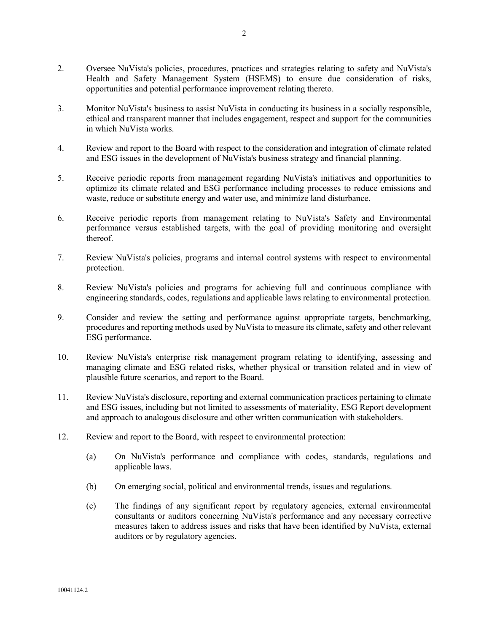- 2. Oversee NuVista's policies, procedures, practices and strategies relating to safety and NuVista's Health and Safety Management System (HSEMS) to ensure due consideration of risks, opportunities and potential performance improvement relating thereto.
- 3. Monitor NuVista's business to assist NuVista in conducting its business in a socially responsible, ethical and transparent manner that includes engagement, respect and support for the communities in which NuVista works.
- 4. Review and report to the Board with respect to the consideration and integration of climate related and ESG issues in the development of NuVista's business strategy and financial planning.
- 5. Receive periodic reports from management regarding NuVista's initiatives and opportunities to optimize its climate related and ESG performance including processes to reduce emissions and waste, reduce or substitute energy and water use, and minimize land disturbance.
- 6. Receive periodic reports from management relating to NuVista's Safety and Environmental performance versus established targets, with the goal of providing monitoring and oversight thereof.
- 7. Review NuVista's policies, programs and internal control systems with respect to environmental protection.
- 8. Review NuVista's policies and programs for achieving full and continuous compliance with engineering standards, codes, regulations and applicable laws relating to environmental protection.
- 9. Consider and review the setting and performance against appropriate targets, benchmarking, procedures and reporting methods used by NuVista to measure its climate, safety and other relevant ESG performance.
- 10. Review NuVista's enterprise risk management program relating to identifying, assessing and managing climate and ESG related risks, whether physical or transition related and in view of plausible future scenarios, and report to the Board.
- 11. Review NuVista's disclosure, reporting and external communication practices pertaining to climate and ESG issues, including but not limited to assessments of materiality, ESG Report development and approach to analogous disclosure and other written communication with stakeholders.
- 12. Review and report to the Board, with respect to environmental protection:
	- (a) On NuVista's performance and compliance with codes, standards, regulations and applicable laws.
	- (b) On emerging social, political and environmental trends, issues and regulations.
	- (c) The findings of any significant report by regulatory agencies, external environmental consultants or auditors concerning NuVista's performance and any necessary corrective measures taken to address issues and risks that have been identified by NuVista, external auditors or by regulatory agencies.